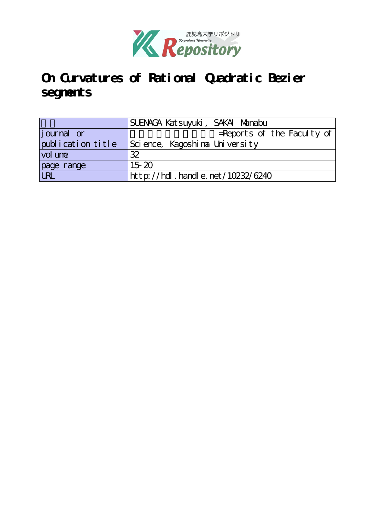

# **On Curvatures of Rational Quadratic Bezier segments**

|                   | SUENACA Katsuyuki, SAKAI Manabu  |
|-------------------|----------------------------------|
| journal or        | $=$ Reports of the Faculty of    |
| publication title | Science, Kagoshina University    |
| vol une           | 32                               |
| page range        | $15-20$                          |
| URL               | http://hdl.handle.net/10232/6240 |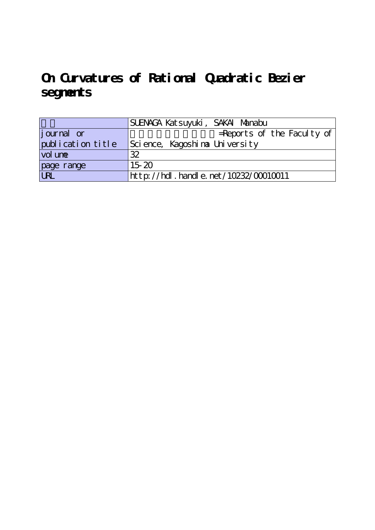# **On Curvatures of Rational Quadratic Bezier segments**

|                    | SUENAGA Katsuyuki, SAKAI Manabu      |
|--------------------|--------------------------------------|
| <i>j</i> ournal or | $=$ Reports of the Faculty of        |
| publication title  | Science, Kagoshina University        |
| vol une            | 32                                   |
| page range         | $15-20$                              |
| URL                | http://hdl.handle.net/10232/00010011 |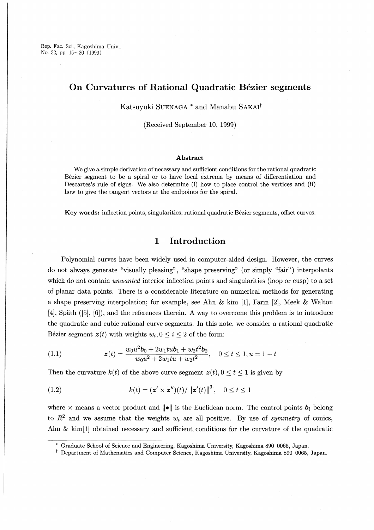Rep. Fac. Sci., Kagoshima Univ., No. 32, pp.  $15 \sim 20$  (1999)

# On Curvatures of Rational Quadratic Bézier segments

Katsuyuki Suenaga \* and Manabu Sakai†

(Received September 10, 1999)

#### Abstract

We give a simple derivation of necessary and sufficient conditions for the rational quadratic Bezier segment to be a spiral or to have local extrema by means of differentiation and Descartes's rule of signs. We also determine (i) how to place control the vertices and (ii) how to give the tangent vectors at the endpoints for the spiral

Key words: inflection points, singularities, rational quadratic Bezier segments, offset curves.

## 1 Introduction

Polynomial curves have been widely used in computer-aided design. However, the curves do not always generate "visually pleasing" , "shape preserving" (or simply "fair") interpolants which do not contain *unwanted* interior inflection points and singularities (loop or cusp) to a set of planar data points. There is a considerable literature on numerical methods for generating a shape preserving interpolation; for example, see Ahn  $\&$  kim [1], Farin [2], Meek  $\&$  Walton l4】, Spath ([5], [6】), and the references therein. A way to overcome this problem is to introduce the quadratic and cubic rational curve segments. In this note, we consider a rational quadratic Bézier segment  $z(t)$  with weights  $w_i, 0 \le i \le 2$  of the form:

(1.1) 
$$
z(t) = \frac{w_0 u^2 b_0 + 2w_1 t u b_1 + w_2 t^2 b_2}{w_0 u^2 + 2w_1 t u + w_2 t^2}, \quad 0 \le t \le 1, u = 1 - t
$$

Then the curvature  $k(t)$  of the above curve segment  $z(t)$ ,  $0 \le t \le 1$  is given by

(1.2) 
$$
k(t) = (z' \times z'')(t) / ||z'(t)||^3, \quad 0 \le t \le 1
$$

where x means a vector product and  $\|\bullet\|$  is the Euclidean norm. The control points  $\mathbf{b}_i$  belong to  $R^2$  and we assume that the weights  $w_i$  are all positive. By use of symmetry of conics, Ahn  $\&$  kim[1] obtained necessary and sufficient conditions for the curvature of the quadratic

Graduate School of Science and Engineering, Kagoshima University, Kagoshima 890-0065, Japan.

<sup>†</sup> Department of Mathematics and Computer Science, Kagoshima University, Kagoshima 890-0065, Japan.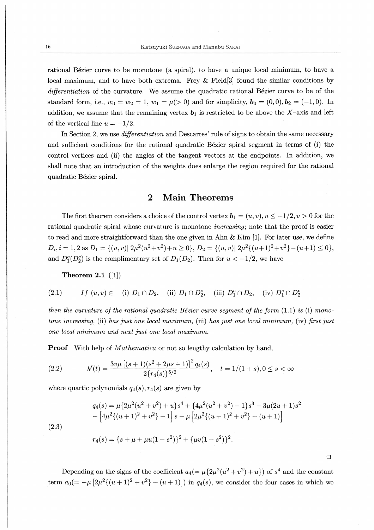rational Bézier curve to be monotone (a spiral), to have a unique local minimum, to have a local maximum, and to have both extrema. Frey  $&$  Field[3] found the similar conditions by differentiation of the curvature. We assume the quadratic rational Bézier curve to be of the standard form, i.e.,  $w_0=w_2=1, w_1=\mu(>0)$  and for simplicity,  $\mathbf{b}_0=(0,0), \mathbf{b}_2=(-1,0)$ . In addition, we assume that the remaining vertex  $\mathbf{b}_1$  is restricted to be above the X-axis and left of the vertical line  $u=-1/2$ .

In Section 2, we use *differentiation* and Descartes' rule of signs to obtain the same necessary and sufficient conditions for the rational quadratic Bezier spiral segment in terms of (i) the control vertices and (ii) the angles of the tangent vectors at the endpoints. In addition, we shall note that an introduction of the weights does enlarge the region required for the rational quadratic Bézier spiral.

#### **Main Theorems**  $\overline{2}$

The first theorem considers a choice of the control vertex  $\mathbf{b}_1=(u,v),u\leq-1/2,v>0$  for the rational quadratic spiral whose curvature is monotone *increasing*; note that the proof is easier to read and more straightforward than the one given in Ahn  $&$  Kim [1]. For later use, we define  $D_i, i=1,2$  as  $D_1=\{(u,v)|2\mu^2(u^2+v^2)+u\geq 0\}$ ,  $D_2=\{(u,v)|2\mu^2((u+1)^2+v^2)-(u+1)\leq 0\}$ , and  $D_1^c(D_2^c)$  is the complimentary set of  $D_1(D_2)$ . Then for  $u < -1/2$ , we have

Theorem 2.1  $([1])$ 

(2.1) 
$$
If (u, v) \in (i) D_1 \cap D_2, (ii) D_1 \cap D_2^c, (iii) D_1^c \cap D_2, (iv) D_1^c \cap D_2^c
$$

then the curvature of the rational quadratic Bézier curve segment of the form  $(1.1)$  is (i) monotone increasing, (ii) has just one local maximum, (iii) has just one local minimum, (iv) first just one local minimum and next just one local maximum.

**Proof** With help of *Mathematica* or not so lengthy calculation by hand.

$$
(2.2) \t k'(t) = \frac{3v\mu\left[(s+1)(s^2+2\mu s+1)\right]^2 q_4(s)}{2\{r_4(s)\}^{5/2}}, \quad t = 1/(1+s), 0 \le s < \infty
$$

where quartic polynomials  $q_4(s)$ ,  $r_4(s)$  are given by

$$
q_4(s) = \mu \{2\mu^2 (u^2 + v^2) + u\} s^4 + \{4\mu^2 (u^2 + v^2) - 1\} s^3 - 3\mu (2u + 1)s^2
$$
  
 
$$
- \left[4\mu^2 \{(u+1)^2 + v^2\} - 1\right] s - \mu \left[2\mu^2 \{(u+1)^2 + v^2\} - (u+1)\right]
$$
  
 
$$
r_4(s) = \{s + \mu + \mu u(1 - s^2)\}^2 + \{\mu v(1 - s^2)\}^2.
$$

2.3

Depending on the signs of the coefficient  $a_4(=\mu \{2\mu^2(u^2 + v^2) +u\})$  of  $s^4$  and the constant term  $a_0(=-\mu [2\mu^2((u+1)^2 +v^2)-(u+1)])$  in  $q_4(s)$ , we consider the four cases in which we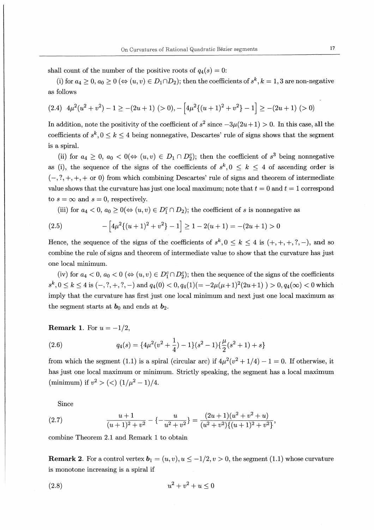shall count of the number of the positive roots of  $q_4(s) = 0$ :

(i) for  $a_4 \geq 0$ ,  $a_0 \geq 0 \ (\Leftrightarrow (u,v) \in D_1 \cap D_2)$ ; then the coefficients of  $s^k, k = 1,3$  are non-negative as follows

$$
(2.4) \ 4\mu^2(u^2+v^2)-1\geq -(2u+1) \ (>0),-\left[4\mu^2\{(u+1)^2+v^2\}-1\right]\geq -(2u+1) \ (>0)
$$

In addition, note the positivity of the coefficient of  $s^2$  since  $-3\mu(2u+1) > 0$ . In this case, all the coefficients of  $s^k, 0 \le k \le 4$  being nonnegative, Descartes' rule of signs shows that the segment is a spiral.

(ii) for  $a_4 \geq 0$ ,  $a_0 < 0 \Leftrightarrow (u, v) \in D_1 \cap D_2^c$ ; then the coefficient of  $s^3$  being nonnegative as (i), the sequence of the signs of the coefficients of  $s^k, 0 \leq k \leq 4$  of ascending order is  $(-, ?, +, +, + \text{ or } 0)$  from which combining Descartes' rule of signs and theorem of intermediate value shows that the curvature has just one local maximum; note that  $t = 0$  and  $t = 1$  correspond to  $s = \infty$  and  $s = 0$ , respectively.

(iii) for  $a_4 < 0$ ,  $a_0 \geq 0 \Leftrightarrow (u, v) \in D_1^c \cap D_2$ ); the coefficient of s is nonnegative as

(2.5) 
$$
-\left[4\mu^2\{(u+1)^2+v^2\}-1\right] \ge 1-2(u+1)=-(2u+1)>0
$$

Hence, the sequence of the signs of the coefficients of  $s^k, 0 \leq k \leq 4$  is  $(+, +, +, ?, -)$ , and so combine the rule of signs and theorem of intermediate value to show that the curvature has just one local minimum.

(iv) for  $a_4 < 0$ ,  $a_0 < 0$  ( $\Leftrightarrow (u, v) \in D_1^c \cap D_2^c$ ); then the sequence of the signs of the coefficients  $s^k, 0 \le k \le 4$  is  $(-,?,+,?,-)$  and  $q_4(0) < 0, q_4(1)(=-2\mu(\mu+1)^2(2u+1)) > 0, q_4(\infty) < 0$  which imply that the curvature has first just one local minimum and next just one local maximum as the segment starts at  $b_0$  and ends at  $b_2$ .

### **Remark 1.** For  $u = -1/2$ ,

(2.6) 
$$
q_4(s) = \{4\mu^2(v^2 + \frac{1}{4}) - 1\}(s^2 - 1)\{\frac{\mu}{2}(s^2 + 1) + s\}
$$

from which the segment (1.1) is a spiral (circular arc) if  $4\mu^2(v^2 + 1/4) - 1 = 0$ . If otherwise, it has just one local maximum or minimum. Strictly speaking, the segment has a local maximum (minimum) if  $v^2 > \left(\frac{1}{\mu^2} - 1\right)/4$ .

Since

(2.7) 
$$
\frac{u+1}{(u+1)^2+v^2}-\left\{-\frac{u}{u^2+v^2}\right\}=\frac{(2u+1)(u^2+v^2+u)}{(u^2+v^2)\{(u+1)^2+v^2\}},
$$

combine Theorem 2.1 and Remark 1 to obtain

**Remark 2.** For a control vertex  $\mathbf{b}_1 = (u,v), u \leq -1/2, v > 0$ , the segment (1.1) whose curvature is monotone increasing is a spiral if

(2.8) 
$$
u^2 + v^2 + u \le 0
$$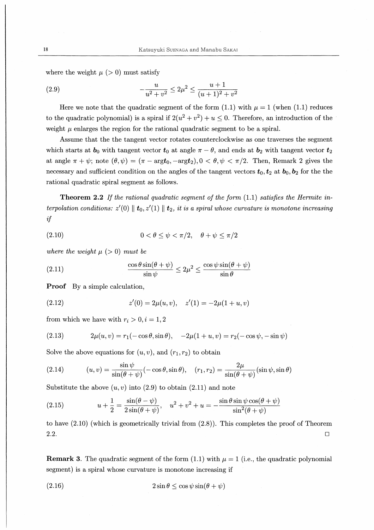where the weight  $\mu$  ( $> 0$ ) must satisfy

(2.9) 
$$
-\frac{u}{u^2+v^2} \le 2\mu^2 \le \frac{u+1}{(u+1)^2+v^2}
$$

Here we note that the quadratic segment of the form (1.1) with  $\mu = 1$  (when (1.1) reduces to the quadratic polynomial) is a spiral if  $2(u^2 + v^2) + u \le 0$ . Therefore, an introduction of the weight  $\mu$  enlarges the region for the rational quadratic segment to be a spiral.

Assume that the the tangent vector rotates counterclockwise as one traverses the segment which starts at  $b_0$  with tangent vector  $t_0$  at angle  $\pi - \theta$ , and ends at  $b_2$  with tangent vector  $t_2$ at angle  $\pi+\psi$ ; note  $(\theta,\psi) = (\pi - \text{arg}t_0, -\text{arg}t_2), 0 < \theta, \psi < \pi/2$ . Then, Remark 2 gives the necessary and sufficient condition on the angles of the tangent vectors  $t_0, t_2$  at  $b_0, b_2$  for the the rational quadratic spiral segment as follows.

**Theorem 2.2** If the rational quadratic segment of the form  $(1.1)$  satisfies the Hermite interpolation conditions:  $z'(0) \parallel \mathbf{t}_0, z'(1) \parallel \mathbf{t}_2$ , it is a spiral whose curvature is monotone increasing if

$$
(2.10) \t\t 0 < \theta \le \psi < \pi/2, \quad \theta + \psi \le \pi/2
$$

where the weight  $\mu$  (> 0) must be

(2.11) 
$$
\frac{\cos \theta \sin(\theta + \psi)}{\sin \psi} \le 2\mu^2 \le \frac{\cos \psi \sin(\theta + \psi)}{\sin \theta}
$$

Proof By a simple calculation,

(2.12) 
$$
z'(0) = 2\mu(u, v), \quad z'(1) = -2\mu(1 + u, v)
$$

from which we have with  $r_i > 0, i = 1,2$ 

(2.13) 
$$
2\mu(u,v) = r_1(-\cos\theta,\sin\theta), \quad -2\mu(1+u,v) = r_2(-\cos\psi,-\sin\psi)
$$

Solve the above equations for  $(u, v)$ , and  $(r_1, r_2)$  to obtain

(2.14) 
$$
(u, v) = \frac{\sin \psi}{\sin(\theta + \psi)} (-\cos \theta, \sin \theta), \quad (r_1, r_2) = \frac{2\mu}{\sin(\theta + \psi)} (\sin \psi, \sin \theta)
$$

Substitute the above  $(u, v)$  into  $(2.9)$  to obtain  $(2.11)$  and note

(2.15) 
$$
u + \frac{1}{2} = \frac{\sin(\theta - \psi)}{2\sin(\theta + \psi)}, \quad u^2 + v^2 + u = -\frac{\sin\theta\sin\psi\cos(\theta + \psi)}{\sin^2(\theta + \psi)}
$$

to have (2.10) (which is geometrically trivial from (2.8)). This completes the proof of Theorem 2.2.  $\Box$ 

**Remark 3.** The quadratic segment of the form (1.1) with  $\mu = 1$  (i.e., the quadratic polynomial segment) is a spiral whose curvature is monotone increasing if

(2.16) 
$$
2\sin\theta \leq \cos\psi\sin(\theta + \psi)
$$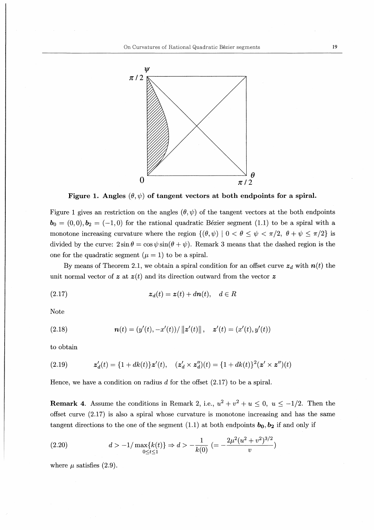

Figure 1. Angles  $(\theta, \psi)$  of tangent vectors at both endpoints for a spiral.

Figure 1 gives an restriction on the angles  $(\theta, \psi)$  of the tangent vectors at the both endpoints  $\mathbf{b}_0 = (0,0), \mathbf{b}_2 = (-1,0)$  for the rational quadratic Bézier segment (1.1) to be a spiral with a monotone increasing curvature where the region  $\{(\theta, \psi) | 0 < \theta \leq \psi < \pi/2, \theta + \psi \leq \pi/2\}$  is divided by the curve:  $2\sin\theta = \cos\psi\sin(\theta + \psi)$ . Remark 3 means that the dashed region is the one for the quadratic segment  $(\mu = 1)$  to be a spiral.

By means of Theorem 2.1, we obtain a spiral condition for an offset curve  $z_d$  with  $n(t)$  the unit normal vector of z at  $z(t)$  and its direction outward from the vector z

$$
(2.17) \t\t\t\t $z_d(t) = z(t) + d\mathbf{n}(t), \quad d \in R$
$$

Note

(2.18) 
$$
\mathbf{n}(t) = (y'(t), -x'(t))/\|\mathbf{z}'(t)\|, \quad \mathbf{z}'(t) = (x'(t), y'(t))
$$

to obtain

(2.19) 
$$
\mathbf{z}'_d(t) = \{1 + dk(t)\}\mathbf{z}'(t), \quad (\mathbf{z}'_d \times \mathbf{z}''_d)(t) = \{1 + dk(t)\}^2 (\mathbf{z}' \times \mathbf{z}'')(t)
$$

Hence, we have a condition on radius  $d$  for the offset  $(2.17)$  to be a spiral.

**Remark 4.** Assume the conditions in Remark 2, i.e.,  $u^2 + v^2 + u \le 0$ ,  $u \le -1/2$ . Then the offset curve  $(2.17)$  is also a spiral whose curvature is monotone increasing and has the same tangent directions to the one of the segment (1.1) at both endpoints  $b_0, b_2$  if and only if

$$
(2.20) \t\t d > -1/\max\{k(t)\} \Rightarrow d > -\frac{1}{k(0)} \left( = -\frac{2\mu^2(u^2 + v^2)^{3/2}}{v}\right)
$$

where  $\mu$  satisfies (2.9).